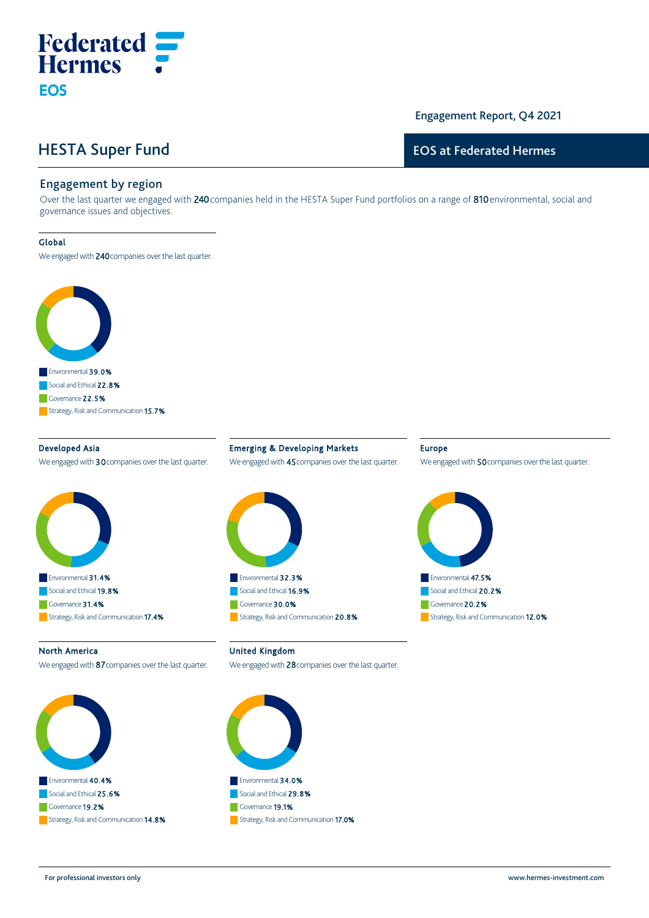# HESTA Super Fund

**Federated**<br>Hermes

## Engagement Report, Q4 2021

## EOS at Federated Hermes

### Engagement by region

Over the last quarter we engaged with 240 companies held in the HESTA Super Fund portfolios on a range of 810 environmental, social and governance issues and objectives.

#### Global

**EOS** 

We engaged with 240 companies over the last quarter.



Developed Asia We engaged with 30 companies over the last quarter.



Emerging & Developing Markets We engaged with 45 companies over the last quarter.



#### Europe

We engaged with 50 companies over the last quarter.



#### North America

We engaged with 87 companies over the last quarter.



United Kingdom

We engaged with 28 companies over the last quarter.